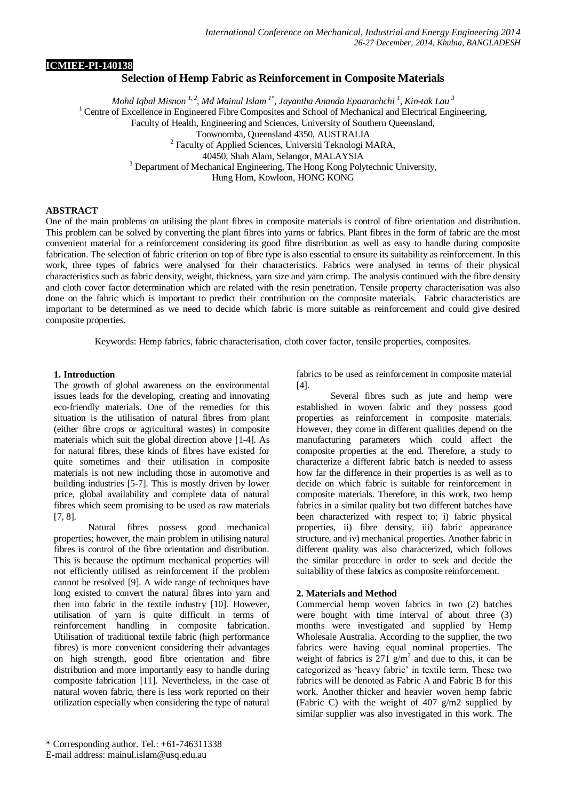### **ICMIEE-PI-140138**

# **Selection of Hemp Fabric as Reinforcement in Composite Materials**

*Mohd Iqbal Misnon 1, 2, Md Mainul Islam 1\* , Jayantha Ananda Epaarachchi <sup>1</sup> , Kin-tak Lau <sup>3</sup>*  $1$  Centre of Excellence in Engineered Fibre Composites and School of Mechanical and Electrical Engineering, Faculty of Health, Engineering and Sciences, University of Southern Queensland, Toowoomba, Queensland 4350, AUSTRALIA <sup>2</sup> Faculty of Applied Sciences, Universiti Teknologi MARA, 40450, Shah Alam, Selangor, MALAYSIA <sup>3</sup> Department of Mechanical Engineering, The Hong Kong Polytechnic University, Hung Hom, Kowloon, HONG KONG

#### **ABSTRACT**

One of the main problems on utilising the plant fibres in composite materials is control of fibre orientation and distribution. This problem can be solved by converting the plant fibres into yarns or fabrics. Plant fibres in the form of fabric are the most convenient material for a reinforcement considering its good fibre distribution as well as easy to handle during composite fabrication. The selection of fabric criterion on top of fibre type is also essential to ensure its suitability as reinforcement. In this work, three types of fabrics were analysed for their characteristics. Fabrics were analysed in terms of their physical characteristics such as fabric density, weight, thickness, yarn size and yarn crimp. The analysis continued with the fibre density and cloth cover factor determination which are related with the resin penetration. Tensile property characterisation was also done on the fabric which is important to predict their contribution on the composite materials. Fabric characteristics are important to be determined as we need to decide which fabric is more suitable as reinforcement and could give desired composite properties.

Keywords: Hemp fabrics, fabric characterisation, cloth cover factor, tensile properties, composites.

### **1. Introduction**

The growth of global awareness on the environmental issues leads for the developing, creating and innovating eco-friendly materials. One of the remedies for this situation is the utilisation of natural fibres from plant (either fibre crops or agricultural wastes) in composite materials which suit the global direction above [\[1-4\]](#page-4-0). As for natural fibres, these kinds of fibres have existed for quite sometimes and their utilisation in composite materials is not new including those in automotive and building industries [\[5-7\]](#page-4-1). This is mostly driven by lower price, global availability and complete data of natural fibres which seem promising to be used as raw materials [\[7,](#page-4-2) [8\]](#page-4-3).

Natural fibres possess good mechanical properties; however, the main problem in utilising natural fibres is control of the fibre orientation and distribution. This is because the optimum mechanical properties will not efficiently utilised as reinforcement if the problem cannot be resolved [\[9\]](#page-4-4). A wide range of techniques have long existed to convert the natural fibres into yarn and then into fabric in the textile industry [\[10\]](#page-4-5). However, utilisation of yarn is quite difficult in terms of reinforcement handling in composite fabrication. Utilisation of traditional textile fabric (high performance fibres) is more convenient considering their advantages on high strength, good fibre orientation and fibre distribution and more importantly easy to handle during composite fabrication [\[11\]](#page-4-6). Nevertheless, in the case of natural woven fabric, there is less work reported on their utilization especially when considering the type of natural fabrics to be used as reinforcement in composite material  $[4]$ .

Several fibres such as jute and hemp were established in woven fabric and they possess good properties as reinforcement in composite materials. However, they come in different qualities depend on the manufacturing parameters which could affect the composite properties at the end. Therefore, a study to characterize a different fabric batch is needed to assess how far the difference in their properties is as well as to decide on which fabric is suitable for reinforcement in composite materials. Therefore, in this work, two hemp fabrics in a similar quality but two different batches have been characterized with respect to; i) fabric physical properties, ii) fibre density, iii) fabric appearance structure, and iv) mechanical properties. Another fabric in different quality was also characterized, which follows the similar procedure in order to seek and decide the suitability of these fabrics as composite reinforcement.

### **2. Materials and Method**

Commercial hemp woven fabrics in two (2) batches were bought with time interval of about three (3) months were investigated and supplied by Hemp Wholesale Australia. According to the supplier, the two fabrics were having equal nominal properties. The weight of fabrics is  $271 \text{ g/m}^2$  and due to this, it can be categorized as 'heavy fabric' in textile term. These two fabrics will be denoted as Fabric A and Fabric B for this work. Another thicker and heavier woven hemp fabric (Fabric C) with the weight of 407 g/m2 supplied by similar supplier was also investigated in this work. The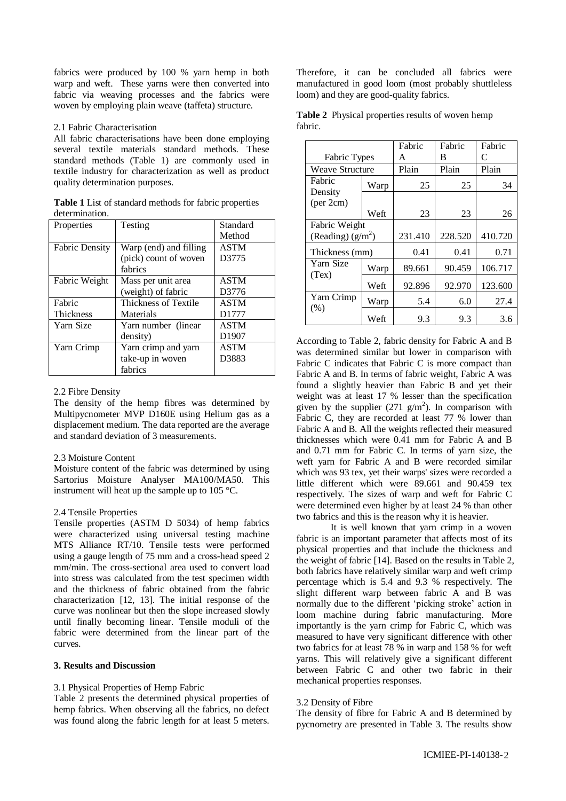fabrics were produced by 100 % yarn hemp in both warp and weft. These yarns were then converted into fabric via weaving processes and the fabrics were woven by employing plain weave (taffeta) structure.

### 2.1 Fabric Characterisation

All fabric characterisations have been done employing several textile materials standard methods. These standard methods (Table 1) are commonly used in textile industry for characterization as well as product quality determination purposes.

**Table 1** List of standard methods for fabric properties determination.

| Properties            | Testing                | Standard          |
|-----------------------|------------------------|-------------------|
|                       |                        | Method            |
| <b>Fabric Density</b> | Warp (end) and filling | <b>ASTM</b>       |
|                       | (pick) count of woven  | D3775             |
|                       | fabrics                |                   |
| Fabric Weight         | Mass per unit area     | <b>ASTM</b>       |
|                       | (weight) of fabric     | D3776             |
| Fabric                | Thickness of Textile   | <b>ASTM</b>       |
| <b>Thickness</b>      | Materials              | D1777             |
| Yarn Size             | Yarn number (linear)   | <b>ASTM</b>       |
|                       | density)               | D <sub>1907</sub> |
| Yarn Crimp            | Yarn crimp and yarn    | <b>ASTM</b>       |
|                       | take-up in woven       | D3883             |
|                       | fabrics                |                   |

#### 2.2 Fibre Density

The density of the hemp fibres was determined by Multipycnometer MVP D160E using Helium gas as a displacement medium. The data reported are the average and standard deviation of 3 measurements.

### 2.3 Moisture Content

Moisture content of the fabric was determined by using Sartorius Moisture Analyser MA100/MA50. This instrument will heat up the sample up to 105 °C.

### 2.4 Tensile Properties

Tensile properties (ASTM D 5034) of hemp fabrics were characterized using universal testing machine MTS Alliance RT/10. Tensile tests were performed using a gauge length of 75 mm and a cross-head speed 2 mm/min. The cross-sectional area used to convert load into stress was calculated from the test specimen width and the thickness of fabric obtained from the fabric characterization [\[12,](#page-4-8) [13\]](#page-4-9). The initial response of the curve was nonlinear but then the slope increased slowly until finally becoming linear. Tensile moduli of the fabric were determined from the linear part of the curves.

### **3. Results and Discussion**

#### 3.1 Physical Properties of Hemp Fabric

Table 2 presents the determined physical properties of hemp fabrics. When observing all the fabrics, no defect was found along the fabric length for at least 5 meters. Therefore, it can be concluded all fabrics were manufactured in good loom (most probably shuttleless loom) and they are good-quality fabrics.

|         | Table 2 Physical properties results of woven hemp |  |  |
|---------|---------------------------------------------------|--|--|
| fabric. |                                                   |  |  |

|                        |      | Fabric  | Fabric  | Fabric  |
|------------------------|------|---------|---------|---------|
| Fabric Types           |      | A       | В       | C       |
| <b>Weave Structure</b> |      | Plain   | Plain   | Plain   |
| Fabric<br>Density      | Warp | 25      | 25      | 34      |
| (per 2cm)              |      |         |         |         |
|                        | Weft | 23      | 23      | 26      |
| Fabric Weight          |      |         |         |         |
| (Reading) $(g/m^2)$    |      | 231.410 | 228.520 | 410.720 |
| Thickness (mm)         |      | 0.41    | 0.41    | 0.71    |
| Yarn Size<br>(Tex)     | Warp | 89.661  | 90.459  | 106.717 |
|                        | Weft | 92.896  | 92.970  | 123.600 |
| Yarn Crimp             | Warp | 5.4     | 6.0     | 27.4    |
| (% )                   | Weft | 9.3     | 9.3     | 3.6     |

According to Table 2, fabric density for Fabric A and B was determined similar but lower in comparison with Fabric C indicates that Fabric C is more compact than Fabric A and B. In terms of fabric weight, Fabric A was found a slightly heavier than Fabric B and yet their weight was at least 17 % lesser than the specification given by the supplier  $(271 \text{ g/m}^2)$ . In comparison with Fabric C, they are recorded at least 77 % lower than Fabric A and B. All the weights reflected their measured thicknesses which were 0.41 mm for Fabric A and B and 0.71 mm for Fabric C. In terms of yarn size, the weft yarn for Fabric A and B were recorded similar which was 93 tex, yet their warps' sizes were recorded a little different which were 89.661 and 90.459 tex respectively. The sizes of warp and weft for Fabric C were determined even higher by at least 24 % than other two fabrics and this is the reason why it is heavier.

It is well known that yarn crimp in a woven fabric is an important parameter that affects most of its physical properties and that include the thickness and the weight of fabric [\[14\]](#page-4-10). Based on the results in Table 2, both fabrics have relatively similar warp and weft crimp percentage which is 5.4 and 9.3 % respectively. The slight different warp between fabric A and B was normally due to the different 'picking stroke' action in loom machine during fabric manufacturing. More importantly is the yarn crimp for Fabric C, which was measured to have very significant difference with other two fabrics for at least 78 % in warp and 158 % for weft yarns. This will relatively give a significant different between Fabric C and other two fabric in their mechanical properties responses.

### 3.2 Density of Fibre

The density of fibre for Fabric A and B determined by pycnometry are presented in Table 3. The results show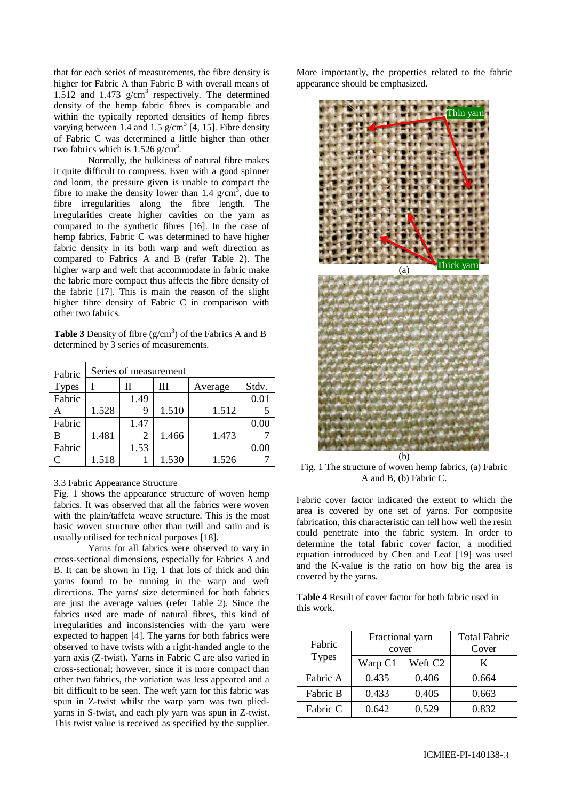that for each series of measurements, the fibre density is higher for Fabric A than Fabric B with overall means of 1.512 and 1.473  $g/cm<sup>3</sup>$  respectively. The determined density of the hemp fabric fibres is comparable and within the typically reported densities of hemp fibres varying between 1.4 and 1.5  $g/cm^3$  [\[4,](#page-4-7) [15\]](#page-4-11). Fibre density of Fabric C was determined a little higher than other two fabrics which is  $1.526$  g/cm<sup>3</sup>.

Normally, the bulkiness of natural fibre makes it quite difficult to compress. Even with a good spinner and loom, the pressure given is unable to compact the fibre to make the density lower than 1.4  $g/cm^3$ , due to fibre irregularities along the fibre length. The irregularities create higher cavities on the yarn as compared to the synthetic fibres [\[16\]](#page-4-12). In the case of hemp fabrics, Fabric C was determined to have higher fabric density in its both warp and weft direction as compared to Fabrics A and B (refer Table 2). The higher warp and weft that accommodate in fabric make the fabric more compact thus affects the fibre density of the fabric [\[17\]](#page-4-13). This is main the reason of the slight higher fibre density of Fabric C in comparison with other two fabrics.

**Table 3** Density of fibre  $(g/cm<sup>3</sup>)$  of the Fabrics A and B determined by 3 series of measurements.

| Fabric       | Series of measurement |      |       |         |       |
|--------------|-----------------------|------|-------|---------|-------|
| <b>Types</b> |                       | Н    | Ш     | Average | Stdv. |
| Fabric       |                       | 1.49 |       |         | 0.01  |
|              | 1.528                 | 9    | 1.510 | 1.512   |       |
| Fabric       |                       | 1.47 |       |         | 0.00  |
| В            | 1.481                 | 2    | 1.466 | 1.473   |       |
| Fabric       |                       | 1.53 |       |         | 0.00  |
| C            | 1.518                 |      | 1.530 | 1.526   |       |

## 3.3 Fabric Appearance Structure

Fig. 1 shows the appearance structure of woven hemp fabrics. It was observed that all the fabrics were woven with the plain/taffeta weave structure. This is the most basic woven structure other than twill and satin and is usually utilised for technical purposes [\[18\]](#page-4-14).

Yarns for all fabrics were observed to vary in cross-sectional dimensions, especially for Fabrics A and B. It can be shown in Fig. 1 that lots of thick and thin yarns found to be running in the warp and weft directions. The yarns' size determined for both fabrics are just the average values (refer Table 2). Since the fabrics used are made of natural fibres, this kind of irregularities and inconsistencies with the yarn were expected to happen [\[4\]](#page-4-7). The yarns for both fabrics were observed to have twists with a right-handed angle to the yarn axis (Z-twist). Yarns in Fabric C are also varied in cross-sectional; however, since it is more compact than other two fabrics, the variation was less appeared and a bit difficult to be seen. The weft yarn for this fabric was spun in Z-twist whilst the warp yarn was two pliedyarns in S-twist, and each ply yarn was spun in Z-twist. This twist value is received as specified by the supplier.

More importantly, the properties related to the fabric appearance should be emphasized.



Fig. 1 The structure of woven hemp fabrics, (a) Fabric A and B, (b) Fabric C.

Fabric cover factor indicated the extent to which the area is covered by one set of yarns. For composite fabrication, this characteristic can tell how well the resin could penetrate into the fabric system. In order to determine the total fabric cover factor, a modified equation introduced by [Chen and Leaf \[19\]](#page-4-15) was used and the K-value is the ratio on how big the area is covered by the yarns.

**Table 4** Result of cover factor for both fabric used in this work.

| Fabric<br><b>Types</b> | Fractional yarn | <b>Total Fabric</b> |       |
|------------------------|-----------------|---------------------|-------|
|                        | cover           | Cover               |       |
|                        | Warp C1         | Weft C <sub>2</sub> | K     |
| Fabric A               | 0.435           | 0.406               | 0.664 |
| Fabric B               | 0.433           | 0.405               | 0.663 |
| Fabric C               | 0.642           | 0.529               | 0.832 |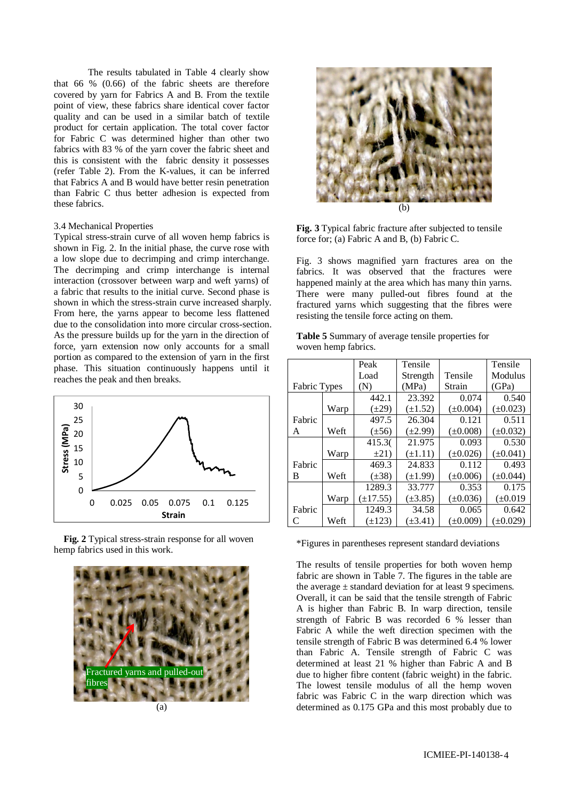The results tabulated in Table 4 clearly show that 66 % (0.66) of the fabric sheets are therefore covered by yarn for Fabrics A and B. From the textile point of view, these fabrics share identical cover factor quality and can be used in a similar batch of textile product for certain application. The total cover factor for Fabric C was determined higher than other two fabrics with 83 % of the yarn cover the fabric sheet and this is consistent with the fabric density it possesses (refer Table 2). From the K-values, it can be inferred that Fabrics A and B would have better resin penetration than Fabric C thus better adhesion is expected from these fabrics.

### 3.4 Mechanical Properties

Typical stress-strain curve of all woven hemp fabrics is shown in Fig. 2. In the initial phase, the curve rose with a low slope due to decrimping and crimp interchange. The decrimping and crimp interchange is internal interaction (crossover between warp and weft yarns) of a fabric that results to the initial curve. Second phase is shown in which the stress-strain curve increased sharply. From here, the yarns appear to become less flattened due to the consolidation into more circular cross-section. As the pressure builds up for the yarn in the direction of force, yarn extension now only accounts for a small portion as compared to the extension of yarn in the first phase. This situation continuously happens until it reaches the peak and then breaks.



 **Fig. 2** Typical stress-strain response for all woven hemp fabrics used in this work.







**Fig. 3** Typical fabric fracture after subjected to tensile force for; (a) Fabric A and B, (b) Fabric C.

Fig. 3 shows magnified yarn fractures area on the fabrics. It was observed that the fractures were happened mainly at the area which has many thin yarns. There were many pulled-out fibres found at the fractured yarns which suggesting that the fibres were resisting the tensile force acting on them.

**Table 5** Summary of average tensile properties for woven hemp fabrics.

|              |      | Peak          | Tensile      |               | Tensile       |
|--------------|------|---------------|--------------|---------------|---------------|
|              |      | Load          | Strength     | Tensile       | Modulus       |
| Fabric Types |      | (N)           | (MPa)        | Strain        | (GPa)         |
|              |      | 442.1         | 23.392       | 0.074         | 0.540         |
|              | Warp | $(\pm 29)$    | $(\pm 1.52)$ | $(\pm 0.004)$ | $(\pm 0.023)$ |
| Fabric       |      | 497.5         | 26.304       | 0.121         | 0.511         |
| A            | Weft | $(\pm 56)$    | $(\pm 2.99)$ | $(\pm 0.008)$ | $(\pm 0.032)$ |
|              |      | 415.30        | 21.975       | 0.093         | 0.530         |
|              | Warp | $\pm 21$      | $(\pm 1.11)$ | $(\pm 0.026)$ | $(\pm 0.041)$ |
| Fabric       |      | 469.3         | 24.833       | 0.112         | 0.493         |
| B            | Weft | $(\pm 38)$    | $(\pm 1.99)$ | $(\pm 0.006)$ | $(\pm 0.044)$ |
|              |      | 1289.3        | 33.777       | 0.353         | 0.175         |
|              | Warp | $(\pm 17.55)$ | $(\pm 3.85)$ | $(\pm 0.036)$ | $(\pm 0.019)$ |
| Fabric       |      | 1249.3        | 34.58        | 0.065         | 0.642         |
|              | Weft | $(\pm 123)$   | $(\pm 3.41)$ | $(\pm 0.009)$ | $(\pm 0.029)$ |

\*Figures in parentheses represent standard deviations

The results of tensile properties for both woven hemp fabric are shown in Table 7. The figures in the table are the average  $\pm$  standard deviation for at least 9 specimens. Overall, it can be said that the tensile strength of Fabric A is higher than Fabric B. In warp direction, tensile strength of Fabric B was recorded 6 % lesser than Fabric A while the weft direction specimen with the tensile strength of Fabric B was determined 6.4 % lower than Fabric A. Tensile strength of Fabric C was determined at least 21 % higher than Fabric A and B due to higher fibre content (fabric weight) in the fabric. The lowest tensile modulus of all the hemp woven fabric was Fabric C in the warp direction which was determined as 0.175 GPa and this most probably due to